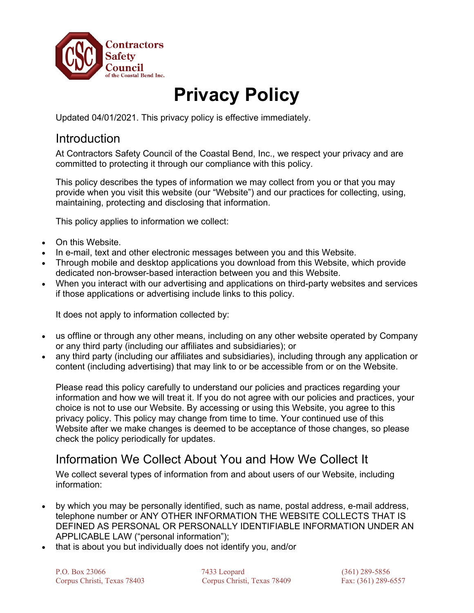

# **Privacy Policy**

Updated 04/01/2021. This privacy policy is effective immediately.

#### **Introduction**

At Contractors Safety Council of the Coastal Bend, Inc., we respect your privacy and are committed to protecting it through our compliance with this policy.

This policy describes the types of information we may collect from you or that you may provide when you visit this website (our "Website") and our practices for collecting, using, maintaining, protecting and disclosing that information.

This policy applies to information we collect:

- On this Website.
- In e-mail, text and other electronic messages between you and this Website.
- Through mobile and desktop applications you download from this Website, which provide dedicated non-browser-based interaction between you and this Website.
- When you interact with our advertising and applications on third-party websites and services if those applications or advertising include links to this policy.

It does not apply to information collected by:

- us offline or through any other means, including on any other website operated by Company or any third party (including our affiliates and subsidiaries); or
- any third party (including our affiliates and subsidiaries), including through any application or content (including advertising) that may link to or be accessible from or on the Website.

Please read this policy carefully to understand our policies and practices regarding your information and how we will treat it. If you do not agree with our policies and practices, your choice is not to use our Website. By accessing or using this Website, you agree to this privacy policy. This policy may change from time to time. Your continued use of this Website after we make changes is deemed to be acceptance of those changes, so please check the policy periodically for updates.

#### Information We Collect About You and How We Collect It

We collect several types of information from and about users of our Website, including information:

- by which you may be personally identified, such as name, postal address, e-mail address, telephone number or ANY OTHER INFORMATION THE WEBSITE COLLECTS THAT IS DEFINED AS PERSONAL OR PERSONALLY IDENTIFIABLE INFORMATION UNDER AN APPLICABLE LAW ("personal information");
- that is about you but individually does not identify you, and/or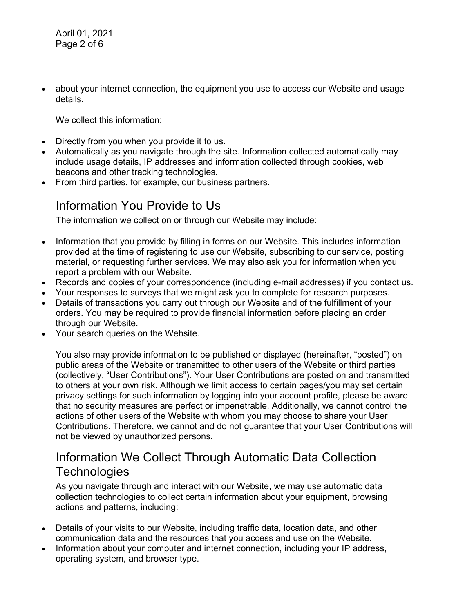April 01, 2021 Page 2 of 6

• about your internet connection, the equipment you use to access our Website and usage details.

We collect this information:

- Directly from you when you provide it to us.
- Automatically as you navigate through the site. Information collected automatically may include usage details, IP addresses and information collected through cookies, web beacons and other tracking technologies.
- From third parties, for example, our business partners.

#### Information You Provide to Us

The information we collect on or through our Website may include:

- Information that you provide by filling in forms on our Website. This includes information provided at the time of registering to use our Website, subscribing to our service, posting material, or requesting further services. We may also ask you for information when you report a problem with our Website.
- Records and copies of your correspondence (including e-mail addresses) if you contact us.
- Your responses to surveys that we might ask you to complete for research purposes.
- Details of transactions you carry out through our Website and of the fulfillment of your orders. You may be required to provide financial information before placing an order through our Website.
- Your search queries on the Website.

You also may provide information to be published or displayed (hereinafter, "posted") on public areas of the Website or transmitted to other users of the Website or third parties (collectively, "User Contributions"). Your User Contributions are posted on and transmitted to others at your own risk. Although we limit access to certain pages/you may set certain privacy settings for such information by logging into your account profile, please be aware that no security measures are perfect or impenetrable. Additionally, we cannot control the actions of other users of the Website with whom you may choose to share your User Contributions. Therefore, we cannot and do not guarantee that your User Contributions will not be viewed by unauthorized persons.

#### Information We Collect Through Automatic Data Collection **Technologies**

As you navigate through and interact with our Website, we may use automatic data collection technologies to collect certain information about your equipment, browsing actions and patterns, including:

- Details of your visits to our Website, including traffic data, location data, and other communication data and the resources that you access and use on the Website.
- Information about your computer and internet connection, including your IP address, operating system, and browser type.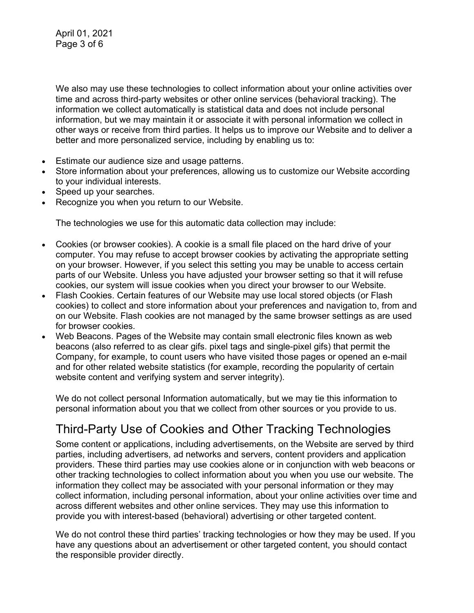April 01, 2021 Page 3 of 6

We also may use these technologies to collect information about your online activities over time and across third-party websites or other online services (behavioral tracking). The information we collect automatically is statistical data and does not include personal information, but we may maintain it or associate it with personal information we collect in other ways or receive from third parties. It helps us to improve our Website and to deliver a better and more personalized service, including by enabling us to:

- Estimate our audience size and usage patterns.
- Store information about your preferences, allowing us to customize our Website according to your individual interests.
- Speed up your searches.
- Recognize you when you return to our Website.

The technologies we use for this automatic data collection may include:

- Cookies (or browser cookies). A cookie is a small file placed on the hard drive of your computer. You may refuse to accept browser cookies by activating the appropriate setting on your browser. However, if you select this setting you may be unable to access certain parts of our Website. Unless you have adjusted your browser setting so that it will refuse cookies, our system will issue cookies when you direct your browser to our Website.
- Flash Cookies. Certain features of our Website may use local stored objects (or Flash cookies) to collect and store information about your preferences and navigation to, from and on our Website. Flash cookies are not managed by the same browser settings as are used for browser cookies.
- Web Beacons. Pages of the Website may contain small electronic files known as web beacons (also referred to as clear gifs. pixel tags and single-pixel gifs) that permit the Company, for example, to count users who have visited those pages or opened an e-mail and for other related website statistics (for example, recording the popularity of certain website content and verifying system and server integrity).

We do not collect personal Information automatically, but we may tie this information to personal information about you that we collect from other sources or you provide to us.

### Third-Party Use of Cookies and Other Tracking Technologies

Some content or applications, including advertisements, on the Website are served by third parties, including advertisers, ad networks and servers, content providers and application providers. These third parties may use cookies alone or in conjunction with web beacons or other tracking technologies to collect information about you when you use our website. The information they collect may be associated with your personal information or they may collect information, including personal information, about your online activities over time and across different websites and other online services. They may use this information to provide you with interest-based (behavioral) advertising or other targeted content.

We do not control these third parties' tracking technologies or how they may be used. If you have any questions about an advertisement or other targeted content, you should contact the responsible provider directly.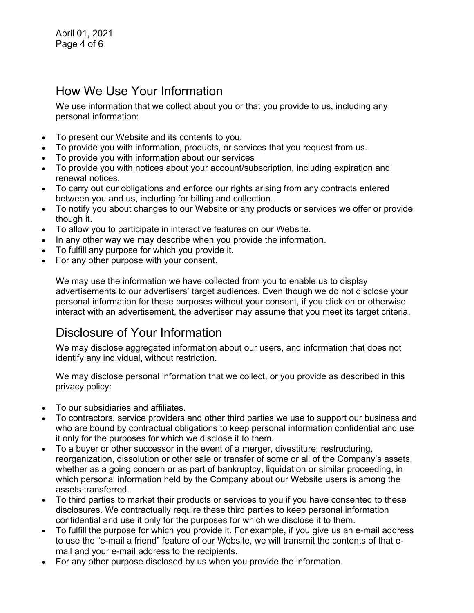#### How We Use Your Information

We use information that we collect about you or that you provide to us, including any personal information:

- To present our Website and its contents to you.
- To provide you with information, products, or services that you request from us.
- To provide you with information about our services
- To provide you with notices about your account/subscription, including expiration and renewal notices.
- To carry out our obligations and enforce our rights arising from any contracts entered between you and us, including for billing and collection.
- To notify you about changes to our Website or any products or services we offer or provide though it.
- To allow you to participate in interactive features on our Website.
- In any other way we may describe when you provide the information.
- To fulfill any purpose for which you provide it.
- For any other purpose with your consent.

We may use the information we have collected from you to enable us to display advertisements to our advertisers' target audiences. Even though we do not disclose your personal information for these purposes without your consent, if you click on or otherwise interact with an advertisement, the advertiser may assume that you meet its target criteria.

### Disclosure of Your Information

We may disclose aggregated information about our users, and information that does not identify any individual, without restriction.

We may disclose personal information that we collect, or you provide as described in this privacy policy:

- To our subsidiaries and affiliates.
- To contractors, service providers and other third parties we use to support our business and who are bound by contractual obligations to keep personal information confidential and use it only for the purposes for which we disclose it to them.
- To a buyer or other successor in the event of a merger, divestiture, restructuring, reorganization, dissolution or other sale or transfer of some or all of the Company's assets, whether as a going concern or as part of bankruptcy, liquidation or similar proceeding, in which personal information held by the Company about our Website users is among the assets transferred.
- To third parties to market their products or services to you if you have consented to these disclosures. We contractually require these third parties to keep personal information confidential and use it only for the purposes for which we disclose it to them.
- To fulfill the purpose for which you provide it. For example, if you give us an e-mail address to use the "e-mail a friend" feature of our Website, we will transmit the contents of that email and your e-mail address to the recipients.
- For any other purpose disclosed by us when you provide the information.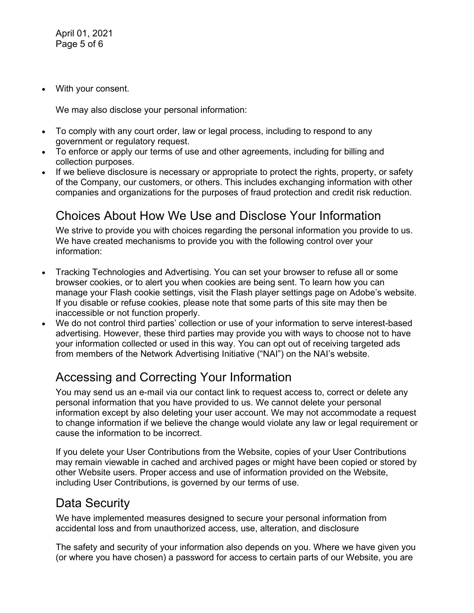• With your consent.

We may also disclose your personal information:

- To comply with any court order, law or legal process, including to respond to any government or regulatory request.
- To enforce or apply our terms of use and other agreements, including for billing and collection purposes.
- If we believe disclosure is necessary or appropriate to protect the rights, property, or safety of the Company, our customers, or others. This includes exchanging information with other companies and organizations for the purposes of fraud protection and credit risk reduction.

## Choices About How We Use and Disclose Your Information

We strive to provide you with choices regarding the personal information you provide to us. We have created mechanisms to provide you with the following control over your information:

- Tracking Technologies and Advertising. You can set your browser to refuse all or some browser cookies, or to alert you when cookies are being sent. To learn how you can manage your Flash cookie settings, visit the Flash player settings page on Adobe's website. If you disable or refuse cookies, please note that some parts of this site may then be inaccessible or not function properly.
- We do not control third parties' collection or use of your information to serve interest-based advertising. However, these third parties may provide you with ways to choose not to have your information collected or used in this way. You can opt out of receiving targeted ads from members of the Network Advertising Initiative ("NAI") on the NAI's website.

## Accessing and Correcting Your Information

You may send us an e-mail via our contact link to request access to, correct or delete any personal information that you have provided to us. We cannot delete your personal information except by also deleting your user account. We may not accommodate a request to change information if we believe the change would violate any law or legal requirement or cause the information to be incorrect.

If you delete your User Contributions from the Website, copies of your User Contributions may remain viewable in cached and archived pages or might have been copied or stored by other Website users. Proper access and use of information provided on the Website, including User Contributions, is governed by our terms of use.

### Data Security

We have implemented measures designed to secure your personal information from accidental loss and from unauthorized access, use, alteration, and disclosure

The safety and security of your information also depends on you. Where we have given you (or where you have chosen) a password for access to certain parts of our Website, you are